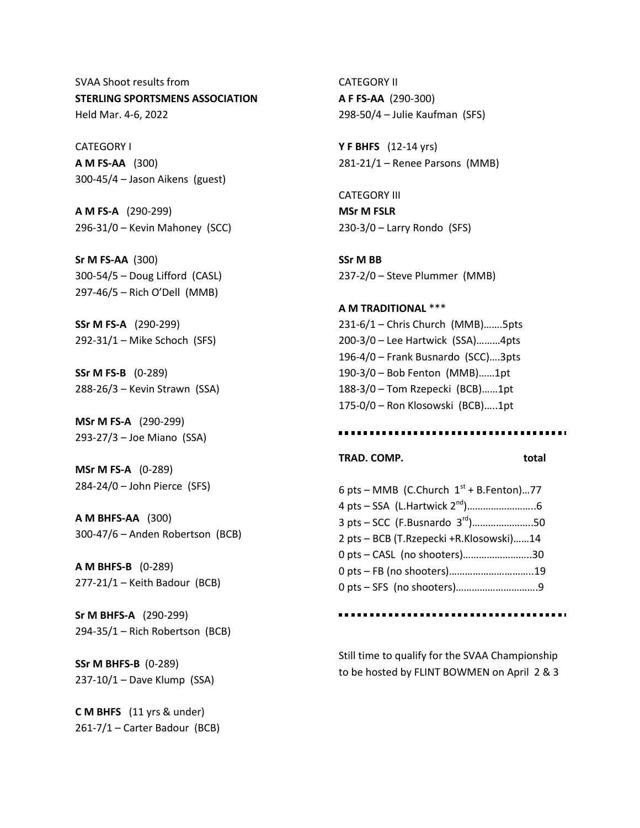SVAA Shoot results from **STERLING SPORTSMENS ASSOCIATION** Held Mar. 4-6, 2022

CATEGORY I **A M FS-AA** (300) 300-45/4 – Jason Aikens (guest)

**A M FS-A** (290-299) 296-31/0 – Kevin Mahoney (SCC)

**Sr M FS-AA** (300) 300-54/5 – Doug Lifford (CASL) 297-46/5 – Rich O'Dell (MMB)

**SSr M FS-A** (290-299) 292-31/1 – Mike Schoch (SFS)

**SSr M FS-B** (0-289) 288-26/3 – Kevin Strawn (SSA)

**MSr M FS-A** (290-299) 293-27/3 – Joe Miano (SSA)

**MSr M FS-A** (0-289) 284-24/0 – John Pierce (SFS)

**A M BHFS-AA** (300) 300-47/6 – Anden Robertson (BCB)

**A M BHFS-B** (0-289) 277-21/1 – Keith Badour (BCB)

**Sr M BHFS-A** (290-299) 294-35/1 – Rich Robertson (BCB)

**SSr M BHFS-B** (0-289) 237-10/1 – Dave Klump (SSA)

**C M BHFS** (11 yrs & under) 261-7/1 – Carter Badour (BCB)

CATEGORY II **A F FS-AA** (290-300) 298-50/4 – Julie Kaufman (SFS)

**Y F BHFS** (12-14 yrs) 281-21/1 – Renee Parsons (MMB)

CATEGORY III **MSr M FSLR** 230-3/0 – Larry Rondo (SFS)

**SSr M BB** 237-2/0 – Steve Plummer (MMB)

**A M TRADITIONAL** \*\*\* 231-6/1 – Chris Church (MMB)…….5pts 200-3/0 – Lee Hartwick (SSA)………4pts 196-4/0 – Frank Busnardo (SCC)….3pts 190-3/0 – Bob Fenton (MMB)……1pt 188-3/0 – Tom Rzepecki (BCB)……1pt 175-0/0 – Ron Klosowski (BCB)…..1pt

#### ...........................

#### **TRAD. COMP. total**

6 pts – MMB (C.Church  $1<sup>st</sup>$  + B.Fenton)...77 4 pts – SSA (L.Hartwick 2<sup>nd</sup>)…………………………………6  $3 \text{ pts} - \text{SCC}$  (F.Busnardo  $3^{rd}$ )..........................50 2 pts – BCB (T.Rzepecki +R.Klosowski)……14 0 pts – CASL (no shooters)……………………..30 0 pts – FB (no shooters)…………………………..19 0 pts – SFS (no shooters)………………………….9

.....................................

Still time to qualify for the SVAA Championship to be hosted by FLINT BOWMEN on April 2 & 3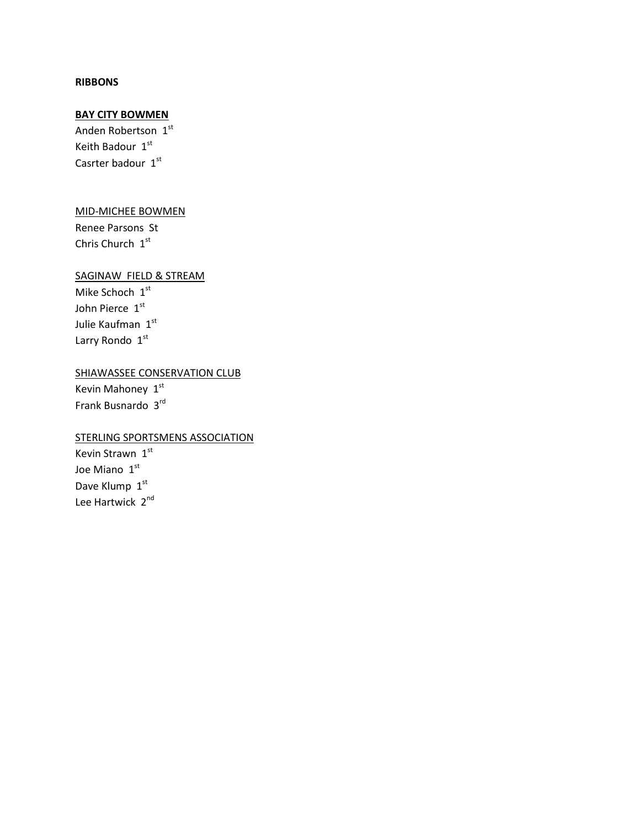#### **RIBBONS**

## **BAY CITY BOWMEN**

Anden Robertson 1st Keith Badour 1st Casrter badour 1st

### MID-MICHEE BOWMEN

Renee Parsons St Chris Church 1st

# SAGINAW FIELD & STREAM

Mike Schoch 1st John Pierce 1st Julie Kaufman 1st Larry Rondo 1st

# SHIAWASSEE CONSERVATION CLUB

Kevin Mahoney  $1<sup>st</sup>$ Frank Busnardo 3rd

## STERLING SPORTSMENS ASSOCIATION

Kevin Strawn 1st Joe Miano 1st Dave Klump 1st Lee Hartwick 2<sup>nd</sup>